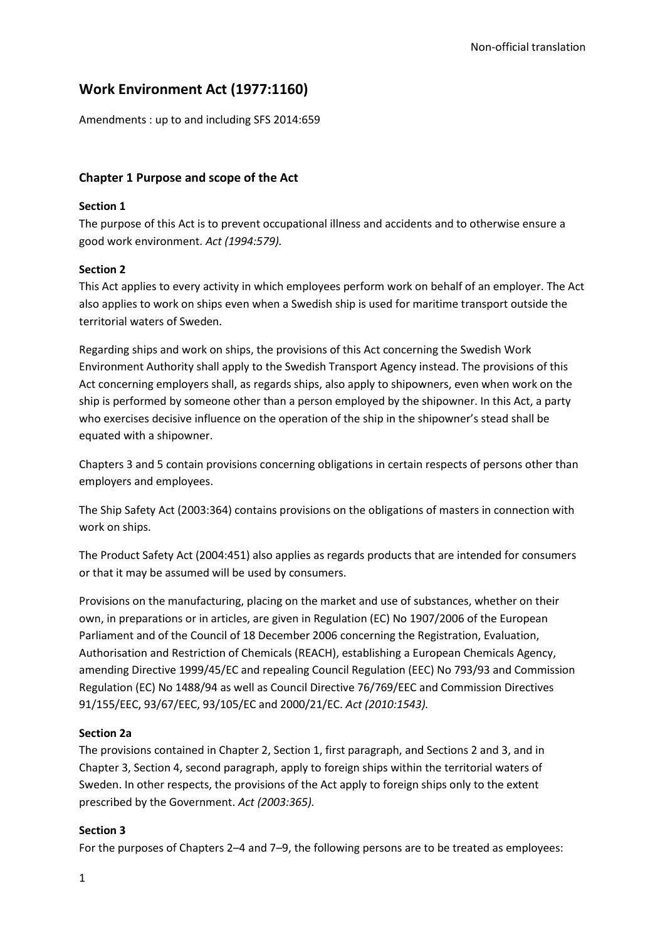# **Work Environment Act (1977:1160)**

Amendments : up to and including SFS 2014:659

## **Chapter 1 Purpose and scope of the Act**

### **Section 1**

The purpose of this Act is to prevent occupational illness and accidents and to otherwise ensure a good work environment. *Act (1994:579).*

### **Section 2**

This Act applies to every activity in which employees perform work on behalf of an employer. The Act also applies to work on ships even when a Swedish ship is used for maritime transport outside the territorial waters of Sweden.

Regarding ships and work on ships, the provisions of this Act concerning the Swedish Work Environment Authority shall apply to the Swedish Transport Agency instead. The provisions of this Act concerning employers shall, as regards ships, also apply to shipowners, even when work on the ship is performed by someone other than a person employed by the shipowner. In this Act, a party who exercises decisive influence on the operation of the ship in the shipowner's stead shall be equated with a shipowner.

Chapters 3 and 5 contain provisions concerning obligations in certain respects of persons other than employers and employees.

The Ship Safety Act (2003:364) contains provisions on the obligations of masters in connection with work on ships.

The Product Safety Act (2004:451) also applies as regards products that are intended for consumers or that it may be assumed will be used by consumers.

Provisions on the manufacturing, placing on the market and use of substances, whether on their own, in preparations or in articles, are given in Regulation (EC) No 1907/2006 of the European Parliament and of the Council of 18 December 2006 concerning the Registration, Evaluation, Authorisation and Restriction of Chemicals (REACH), establishing a European Chemicals Agency, amending Directive 1999/45/EC and repealing Council Regulation (EEC) No 793/93 and Commission Regulation (EC) No 1488/94 as well as Council Directive 76/769/EEC and Commission Directives 91/155/EEC, 93/67/EEC, 93/105/EC and 2000/21/EC. *Act (2010:1543).*

### **Section 2a**

The provisions contained in Chapter 2, Section 1, first paragraph, and Sections 2 and 3, and in Chapter 3, Section 4, second paragraph, apply to foreign ships within the territorial waters of Sweden. In other respects, the provisions of the Act apply to foreign ships only to the extent prescribed by the Government. *Act (2003:365).*

### **Section 3**

For the purposes of Chapters 2–4 and 7–9, the following persons are to be treated as employees: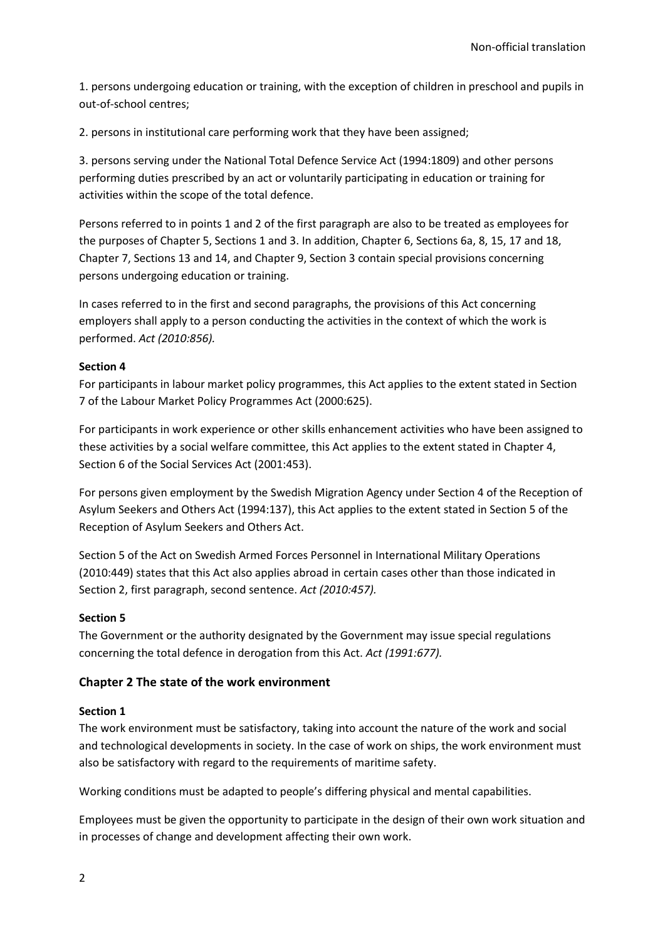1. persons undergoing education or training, with the exception of children in preschool and pupils in out-of-school centres;

2. persons in institutional care performing work that they have been assigned;

3. persons serving under the National Total Defence Service Act (1994:1809) and other persons performing duties prescribed by an act or voluntarily participating in education or training for activities within the scope of the total defence.

Persons referred to in points 1 and 2 of the first paragraph are also to be treated as employees for the purposes of Chapter 5, Sections 1 and 3. In addition, Chapter 6, Sections 6a, 8, 15, 17 and 18, Chapter 7, Sections 13 and 14, and Chapter 9, Section 3 contain special provisions concerning persons undergoing education or training.

In cases referred to in the first and second paragraphs, the provisions of this Act concerning employers shall apply to a person conducting the activities in the context of which the work is performed. *Act (2010:856).*

### **Section 4**

For participants in labour market policy programmes, this Act applies to the extent stated in Section 7 of the Labour Market Policy Programmes Act (2000:625).

For participants in work experience or other skills enhancement activities who have been assigned to these activities by a social welfare committee, this Act applies to the extent stated in Chapter 4, Section 6 of the Social Services Act (2001:453).

For persons given employment by the Swedish Migration Agency under Section 4 of the Reception of Asylum Seekers and Others Act (1994:137), this Act applies to the extent stated in Section 5 of the Reception of Asylum Seekers and Others Act.

Section 5 of the Act on Swedish Armed Forces Personnel in International Military Operations (2010:449) states that this Act also applies abroad in certain cases other than those indicated in Section 2, first paragraph, second sentence. *Act (2010:457).*

### **Section 5**

The Government or the authority designated by the Government may issue special regulations concerning the total defence in derogation from this Act. *Act (1991:677).*

## **Chapter 2 The state of the work environment**

### **Section 1**

The work environment must be satisfactory, taking into account the nature of the work and social and technological developments in society. In the case of work on ships, the work environment must also be satisfactory with regard to the requirements of maritime safety.

Working conditions must be adapted to people's differing physical and mental capabilities.

Employees must be given the opportunity to participate in the design of their own work situation and in processes of change and development affecting their own work.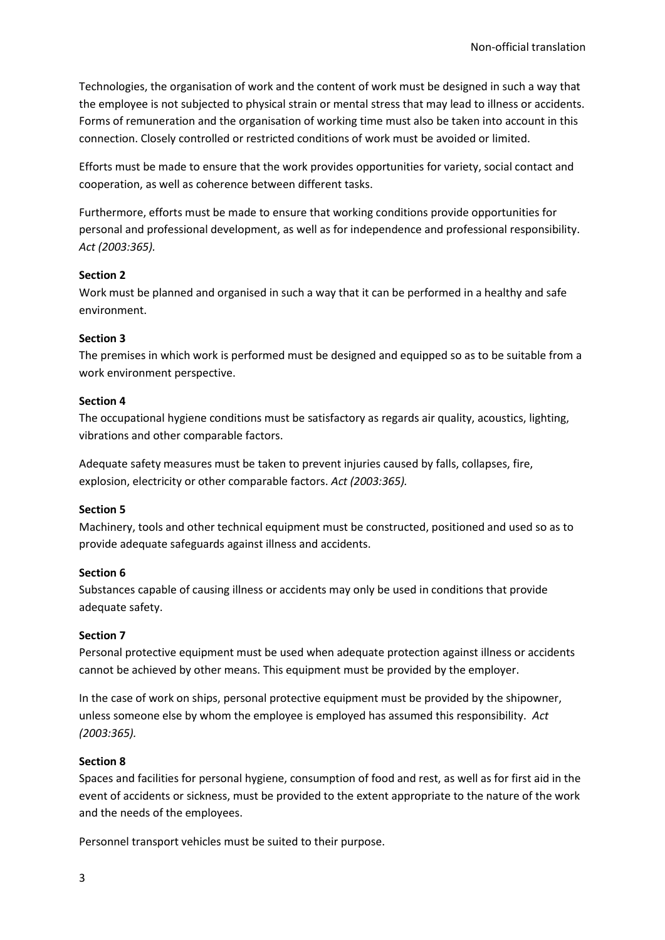Technologies, the organisation of work and the content of work must be designed in such a way that the employee is not subjected to physical strain or mental stress that may lead to illness or accidents. Forms of remuneration and the organisation of working time must also be taken into account in this connection. Closely controlled or restricted conditions of work must be avoided or limited.

Efforts must be made to ensure that the work provides opportunities for variety, social contact and cooperation, as well as coherence between different tasks.

Furthermore, efforts must be made to ensure that working conditions provide opportunities for personal and professional development, as well as for independence and professional responsibility. *Act (2003:365).*

### **Section 2**

Work must be planned and organised in such a way that it can be performed in a healthy and safe environment.

#### **Section 3**

The premises in which work is performed must be designed and equipped so as to be suitable from a work environment perspective.

#### **Section 4**

The occupational hygiene conditions must be satisfactory as regards air quality, acoustics, lighting, vibrations and other comparable factors.

Adequate safety measures must be taken to prevent injuries caused by falls, collapses, fire, explosion, electricity or other comparable factors. *Act (2003:365).*

### **Section 5**

Machinery, tools and other technical equipment must be constructed, positioned and used so as to provide adequate safeguards against illness and accidents.

### **Section 6**

Substances capable of causing illness or accidents may only be used in conditions that provide adequate safety.

### **Section 7**

Personal protective equipment must be used when adequate protection against illness or accidents cannot be achieved by other means. This equipment must be provided by the employer.

In the case of work on ships, personal protective equipment must be provided by the shipowner, unless someone else by whom the employee is employed has assumed this responsibility. *Act (2003:365).*

### **Section 8**

Spaces and facilities for personal hygiene, consumption of food and rest, as well as for first aid in the event of accidents or sickness, must be provided to the extent appropriate to the nature of the work and the needs of the employees.

Personnel transport vehicles must be suited to their purpose.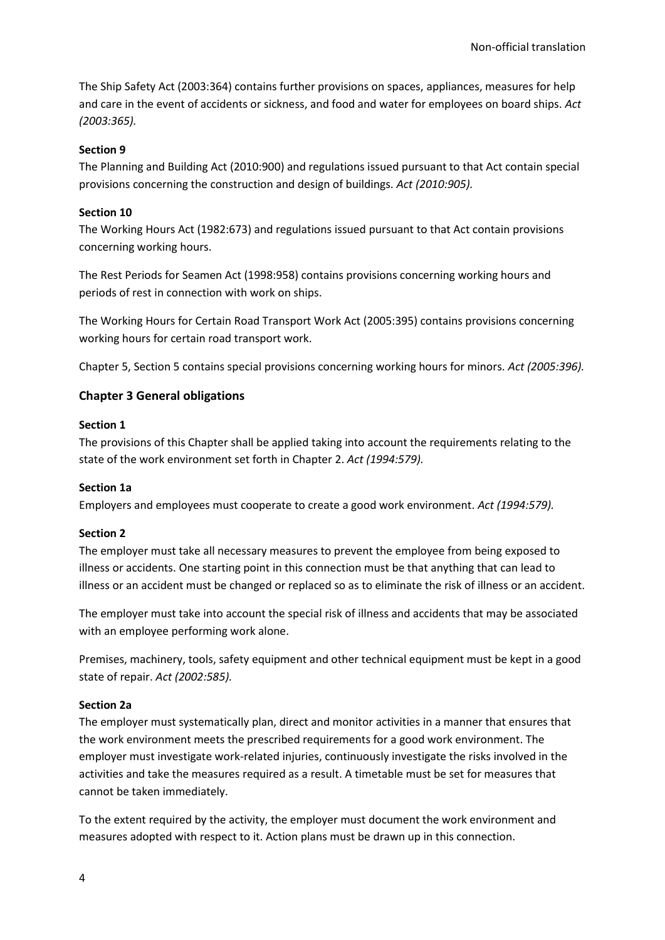The Ship Safety Act (2003:364) contains further provisions on spaces, appliances, measures for help and care in the event of accidents or sickness, and food and water for employees on board ships. *Act (2003:365).*

## **Section 9**

The Planning and Building Act (2010:900) and regulations issued pursuant to that Act contain special provisions concerning the construction and design of buildings. *Act (2010:905).*

## **Section 10**

The Working Hours Act (1982:673) and regulations issued pursuant to that Act contain provisions concerning working hours.

The Rest Periods for Seamen Act (1998:958) contains provisions concerning working hours and periods of rest in connection with work on ships.

The Working Hours for Certain Road Transport Work Act (2005:395) contains provisions concerning working hours for certain road transport work.

Chapter 5, Section 5 contains special provisions concerning working hours for minors. *Act (2005:396).*

## **Chapter 3 General obligations**

### **Section 1**

The provisions of this Chapter shall be applied taking into account the requirements relating to the state of the work environment set forth in Chapter 2. *Act (1994:579).*

### **Section 1a**

Employers and employees must cooperate to create a good work environment. *Act (1994:579).*

### **Section 2**

The employer must take all necessary measures to prevent the employee from being exposed to illness or accidents. One starting point in this connection must be that anything that can lead to illness or an accident must be changed or replaced so as to eliminate the risk of illness or an accident.

The employer must take into account the special risk of illness and accidents that may be associated with an employee performing work alone.

Premises, machinery, tools, safety equipment and other technical equipment must be kept in a good state of repair. *Act (2002:585).*

### **Section 2a**

The employer must systematically plan, direct and monitor activities in a manner that ensures that the work environment meets the prescribed requirements for a good work environment. The employer must investigate work-related injuries, continuously investigate the risks involved in the activities and take the measures required as a result. A timetable must be set for measures that cannot be taken immediately.

To the extent required by the activity, the employer must document the work environment and measures adopted with respect to it. Action plans must be drawn up in this connection.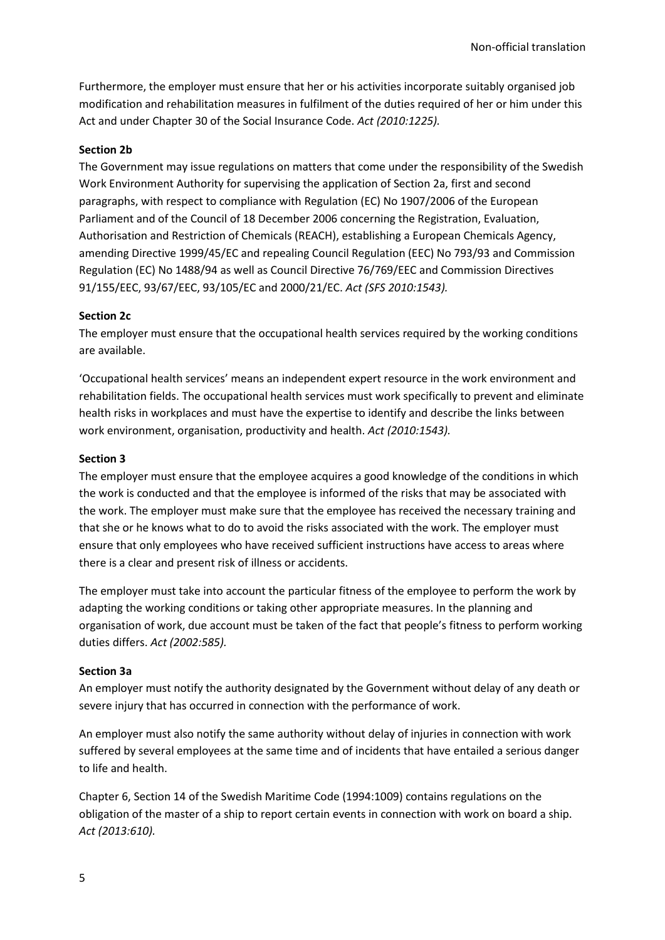Furthermore, the employer must ensure that her or his activities incorporate suitably organised job modification and rehabilitation measures in fulfilment of the duties required of her or him under this Act and under Chapter 30 of the Social Insurance Code. *Act (2010:1225).*

#### **Section 2b**

The Government may issue regulations on matters that come under the responsibility of the Swedish Work Environment Authority for supervising the application of Section 2a, first and second paragraphs, with respect to compliance with Regulation (EC) No 1907/2006 of the European Parliament and of the Council of 18 December 2006 concerning the Registration, Evaluation, Authorisation and Restriction of Chemicals (REACH), establishing a European Chemicals Agency, amending Directive 1999/45/EC and repealing Council Regulation (EEC) No 793/93 and Commission Regulation (EC) No 1488/94 as well as Council Directive 76/769/EEC and Commission Directives 91/155/EEC, 93/67/EEC, 93/105/EC and 2000/21/EC. *Act (SFS 2010:1543).*

#### **Section 2c**

The employer must ensure that the occupational health services required by the working conditions are available.

'Occupational health services' means an independent expert resource in the work environment and rehabilitation fields. The occupational health services must work specifically to prevent and eliminate health risks in workplaces and must have the expertise to identify and describe the links between work environment, organisation, productivity and health. *Act (2010:1543).*

#### **Section 3**

The employer must ensure that the employee acquires a good knowledge of the conditions in which the work is conducted and that the employee is informed of the risks that may be associated with the work. The employer must make sure that the employee has received the necessary training and that she or he knows what to do to avoid the risks associated with the work. The employer must ensure that only employees who have received sufficient instructions have access to areas where there is a clear and present risk of illness or accidents.

The employer must take into account the particular fitness of the employee to perform the work by adapting the working conditions or taking other appropriate measures. In the planning and organisation of work, due account must be taken of the fact that people's fitness to perform working duties differs. *Act (2002:585).*

#### **Section 3a**

An employer must notify the authority designated by the Government without delay of any death or severe injury that has occurred in connection with the performance of work.

An employer must also notify the same authority without delay of injuries in connection with work suffered by several employees at the same time and of incidents that have entailed a serious danger to life and health.

Chapter 6, Section 14 of the Swedish Maritime Code (1994:1009) contains regulations on the obligation of the master of a ship to report certain events in connection with work on board a ship. *Act (2013:610).*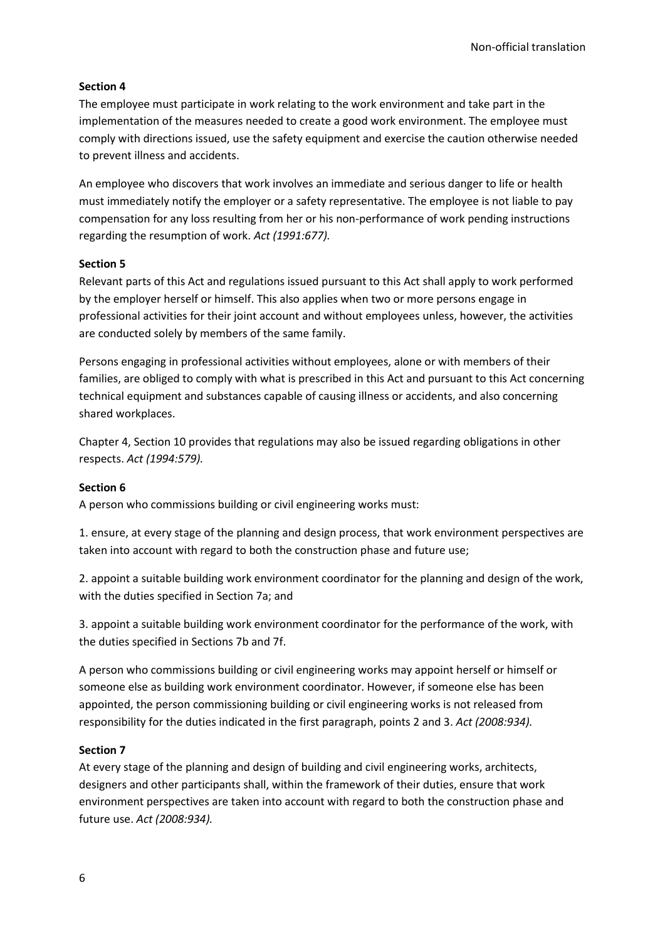## **Section 4**

The employee must participate in work relating to the work environment and take part in the implementation of the measures needed to create a good work environment. The employee must comply with directions issued, use the safety equipment and exercise the caution otherwise needed to prevent illness and accidents.

An employee who discovers that work involves an immediate and serious danger to life or health must immediately notify the employer or a safety representative. The employee is not liable to pay compensation for any loss resulting from her or his non-performance of work pending instructions regarding the resumption of work. *Act (1991:677).*

### **Section 5**

Relevant parts of this Act and regulations issued pursuant to this Act shall apply to work performed by the employer herself or himself. This also applies when two or more persons engage in professional activities for their joint account and without employees unless, however, the activities are conducted solely by members of the same family.

Persons engaging in professional activities without employees, alone or with members of their families, are obliged to comply with what is prescribed in this Act and pursuant to this Act concerning technical equipment and substances capable of causing illness or accidents, and also concerning shared workplaces.

Chapter 4, Section 10 provides that regulations may also be issued regarding obligations in other respects. *Act (1994:579).*

## **Section 6**

A person who commissions building or civil engineering works must:

1. ensure, at every stage of the planning and design process, that work environment perspectives are taken into account with regard to both the construction phase and future use;

2. appoint a suitable building work environment coordinator for the planning and design of the work, with the duties specified in Section 7a; and

3. appoint a suitable building work environment coordinator for the performance of the work, with the duties specified in Sections 7b and 7f.

A person who commissions building or civil engineering works may appoint herself or himself or someone else as building work environment coordinator. However, if someone else has been appointed, the person commissioning building or civil engineering works is not released from responsibility for the duties indicated in the first paragraph, points 2 and 3. *Act (2008:934).*

### **Section 7**

At every stage of the planning and design of building and civil engineering works, architects, designers and other participants shall, within the framework of their duties, ensure that work environment perspectives are taken into account with regard to both the construction phase and future use. *Act (2008:934).*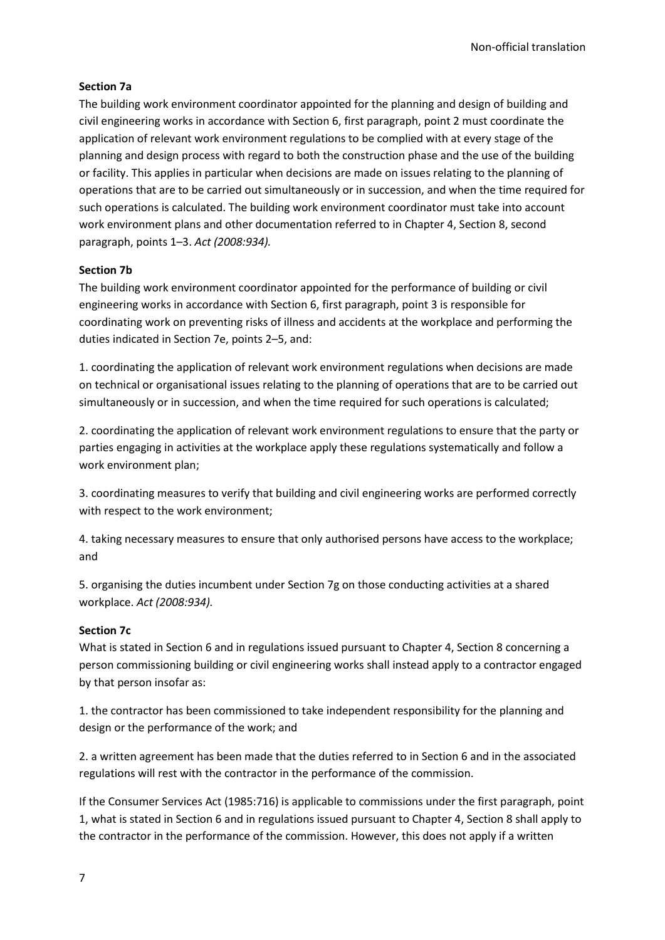### **Section 7a**

The building work environment coordinator appointed for the planning and design of building and civil engineering works in accordance with Section 6, first paragraph, point 2 must coordinate the application of relevant work environment regulations to be complied with at every stage of the planning and design process with regard to both the construction phase and the use of the building or facility. This applies in particular when decisions are made on issues relating to the planning of operations that are to be carried out simultaneously or in succession, and when the time required for such operations is calculated. The building work environment coordinator must take into account work environment plans and other documentation referred to in Chapter 4, Section 8, second paragraph, points 1–3. *Act (2008:934).*

## **Section 7b**

The building work environment coordinator appointed for the performance of building or civil engineering works in accordance with Section 6, first paragraph, point 3 is responsible for coordinating work on preventing risks of illness and accidents at the workplace and performing the duties indicated in Section 7e, points 2–5, and:

1. coordinating the application of relevant work environment regulations when decisions are made on technical or organisational issues relating to the planning of operations that are to be carried out simultaneously or in succession, and when the time required for such operations is calculated;

2. coordinating the application of relevant work environment regulations to ensure that the party or parties engaging in activities at the workplace apply these regulations systematically and follow a work environment plan;

3. coordinating measures to verify that building and civil engineering works are performed correctly with respect to the work environment;

4. taking necessary measures to ensure that only authorised persons have access to the workplace; and

5. organising the duties incumbent under Section 7g on those conducting activities at a shared workplace. *Act (2008:934).*

### **Section 7c**

What is stated in Section 6 and in regulations issued pursuant to Chapter 4, Section 8 concerning a person commissioning building or civil engineering works shall instead apply to a contractor engaged by that person insofar as:

1. the contractor has been commissioned to take independent responsibility for the planning and design or the performance of the work; and

2. a written agreement has been made that the duties referred to in Section 6 and in the associated regulations will rest with the contractor in the performance of the commission.

If the Consumer Services Act (1985:716) is applicable to commissions under the first paragraph, point 1, what is stated in Section 6 and in regulations issued pursuant to Chapter 4, Section 8 shall apply to the contractor in the performance of the commission. However, this does not apply if a written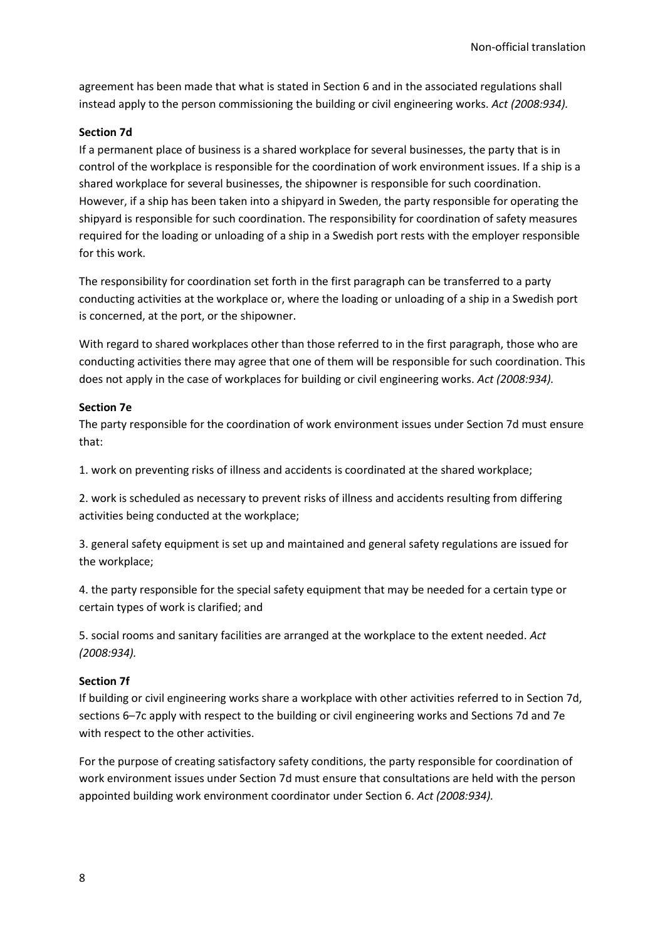agreement has been made that what is stated in Section 6 and in the associated regulations shall instead apply to the person commissioning the building or civil engineering works. *Act (2008:934).*

#### **Section 7d**

If a permanent place of business is a shared workplace for several businesses, the party that is in control of the workplace is responsible for the coordination of work environment issues. If a ship is a shared workplace for several businesses, the shipowner is responsible for such coordination. However, if a ship has been taken into a shipyard in Sweden, the party responsible for operating the shipyard is responsible for such coordination. The responsibility for coordination of safety measures required for the loading or unloading of a ship in a Swedish port rests with the employer responsible for this work.

The responsibility for coordination set forth in the first paragraph can be transferred to a party conducting activities at the workplace or, where the loading or unloading of a ship in a Swedish port is concerned, at the port, or the shipowner.

With regard to shared workplaces other than those referred to in the first paragraph, those who are conducting activities there may agree that one of them will be responsible for such coordination. This does not apply in the case of workplaces for building or civil engineering works. *Act (2008:934).*

#### **Section 7e**

The party responsible for the coordination of work environment issues under Section 7d must ensure that:

1. work on preventing risks of illness and accidents is coordinated at the shared workplace;

2. work is scheduled as necessary to prevent risks of illness and accidents resulting from differing activities being conducted at the workplace;

3. general safety equipment is set up and maintained and general safety regulations are issued for the workplace;

4. the party responsible for the special safety equipment that may be needed for a certain type or certain types of work is clarified; and

5. social rooms and sanitary facilities are arranged at the workplace to the extent needed. *Act (2008:934).*

#### **Section 7f**

If building or civil engineering works share a workplace with other activities referred to in Section 7d, sections 6–7c apply with respect to the building or civil engineering works and Sections 7d and 7e with respect to the other activities.

For the purpose of creating satisfactory safety conditions, the party responsible for coordination of work environment issues under Section 7d must ensure that consultations are held with the person appointed building work environment coordinator under Section 6. *Act (2008:934).*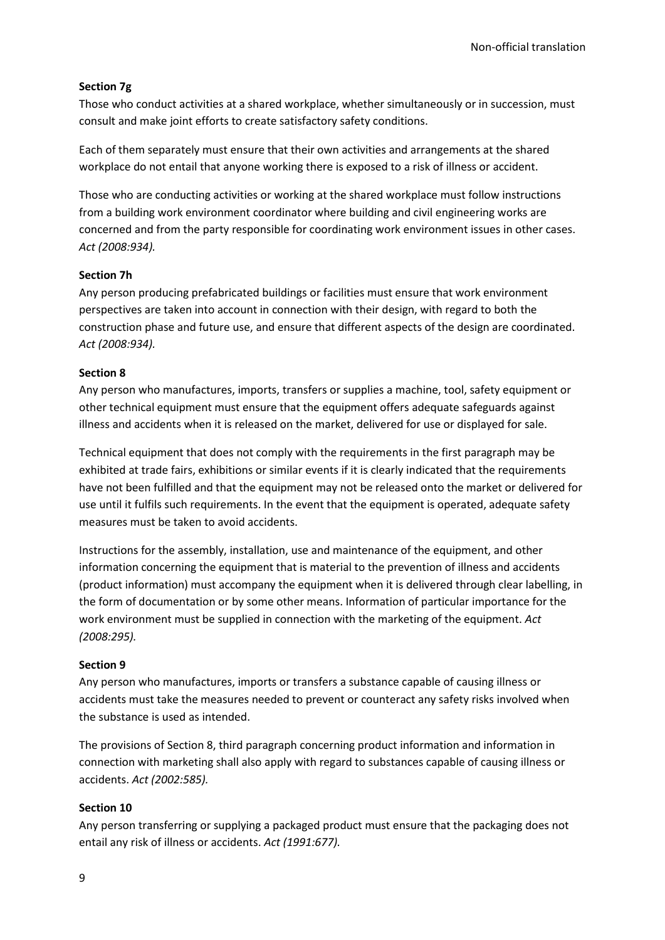## **Section 7g**

Those who conduct activities at a shared workplace, whether simultaneously or in succession, must consult and make joint efforts to create satisfactory safety conditions.

Each of them separately must ensure that their own activities and arrangements at the shared workplace do not entail that anyone working there is exposed to a risk of illness or accident.

Those who are conducting activities or working at the shared workplace must follow instructions from a building work environment coordinator where building and civil engineering works are concerned and from the party responsible for coordinating work environment issues in other cases. *Act (2008:934).*

### **Section 7h**

Any person producing prefabricated buildings or facilities must ensure that work environment perspectives are taken into account in connection with their design, with regard to both the construction phase and future use, and ensure that different aspects of the design are coordinated. *Act (2008:934).*

### **Section 8**

Any person who manufactures, imports, transfers or supplies a machine, tool, safety equipment or other technical equipment must ensure that the equipment offers adequate safeguards against illness and accidents when it is released on the market, delivered for use or displayed for sale.

Technical equipment that does not comply with the requirements in the first paragraph may be exhibited at trade fairs, exhibitions or similar events if it is clearly indicated that the requirements have not been fulfilled and that the equipment may not be released onto the market or delivered for use until it fulfils such requirements. In the event that the equipment is operated, adequate safety measures must be taken to avoid accidents.

Instructions for the assembly, installation, use and maintenance of the equipment, and other information concerning the equipment that is material to the prevention of illness and accidents (product information) must accompany the equipment when it is delivered through clear labelling, in the form of documentation or by some other means. Information of particular importance for the work environment must be supplied in connection with the marketing of the equipment. *Act (2008:295).*

### **Section 9**

Any person who manufactures, imports or transfers a substance capable of causing illness or accidents must take the measures needed to prevent or counteract any safety risks involved when the substance is used as intended.

The provisions of Section 8, third paragraph concerning product information and information in connection with marketing shall also apply with regard to substances capable of causing illness or accidents. *Act (2002:585).*

#### **Section 10**

Any person transferring or supplying a packaged product must ensure that the packaging does not entail any risk of illness or accidents. *Act (1991:677).*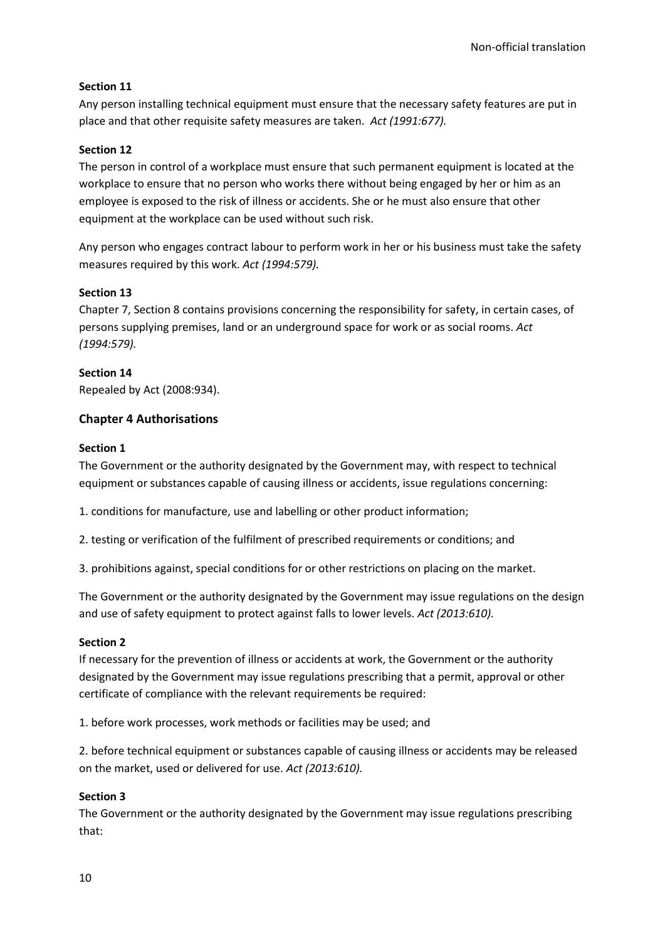## **Section 11**

Any person installing technical equipment must ensure that the necessary safety features are put in place and that other requisite safety measures are taken. *Act (1991:677).*

## **Section 12**

The person in control of a workplace must ensure that such permanent equipment is located at the workplace to ensure that no person who works there without being engaged by her or him as an employee is exposed to the risk of illness or accidents. She or he must also ensure that other equipment at the workplace can be used without such risk.

Any person who engages contract labour to perform work in her or his business must take the safety measures required by this work. *Act (1994:579).*

### **Section 13**

Chapter 7, Section 8 contains provisions concerning the responsibility for safety, in certain cases, of persons supplying premises, land or an underground space for work or as social rooms. *Act (1994:579).*

### **Section 14**

Repealed by Act (2008:934).

## **Chapter 4 Authorisations**

## **Section 1**

The Government or the authority designated by the Government may, with respect to technical equipment or substances capable of causing illness or accidents, issue regulations concerning:

1. conditions for manufacture, use and labelling or other product information;

2. testing or verification of the fulfilment of prescribed requirements or conditions; and

3. prohibitions against, special conditions for or other restrictions on placing on the market.

The Government or the authority designated by the Government may issue regulations on the design and use of safety equipment to protect against falls to lower levels. *Act (2013:610).*

### **Section 2**

If necessary for the prevention of illness or accidents at work, the Government or the authority designated by the Government may issue regulations prescribing that a permit, approval or other certificate of compliance with the relevant requirements be required:

1. before work processes, work methods or facilities may be used; and

2. before technical equipment or substances capable of causing illness or accidents may be released on the market, used or delivered for use. *Act (2013:610).*

### **Section 3**

The Government or the authority designated by the Government may issue regulations prescribing that: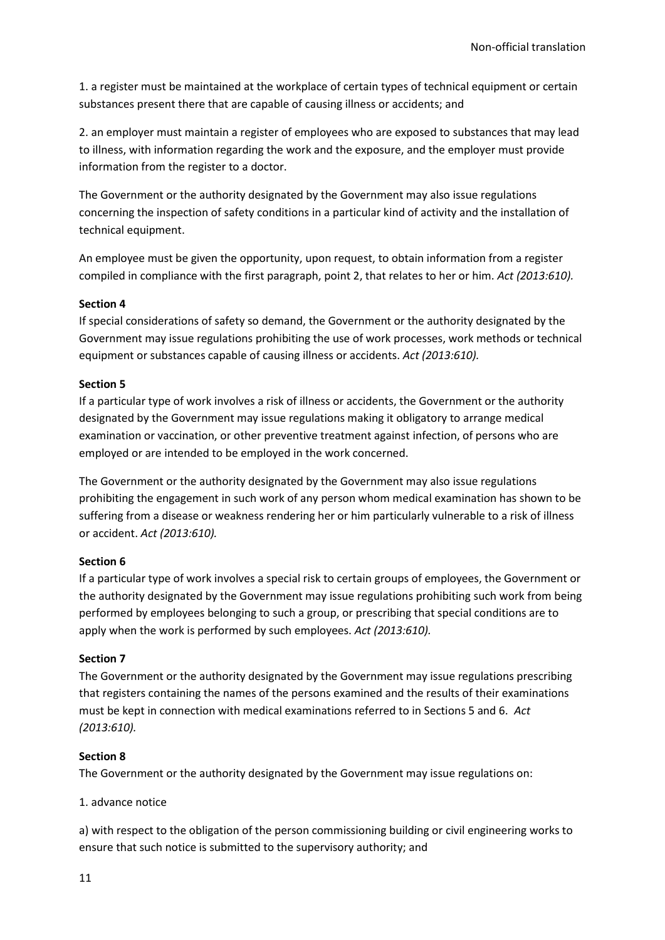1. a register must be maintained at the workplace of certain types of technical equipment or certain substances present there that are capable of causing illness or accidents; and

2. an employer must maintain a register of employees who are exposed to substances that may lead to illness, with information regarding the work and the exposure, and the employer must provide information from the register to a doctor.

The Government or the authority designated by the Government may also issue regulations concerning the inspection of safety conditions in a particular kind of activity and the installation of technical equipment.

An employee must be given the opportunity, upon request, to obtain information from a register compiled in compliance with the first paragraph, point 2, that relates to her or him. *Act (2013:610).*

### **Section 4**

If special considerations of safety so demand, the Government or the authority designated by the Government may issue regulations prohibiting the use of work processes, work methods or technical equipment or substances capable of causing illness or accidents. *Act (2013:610).*

#### **Section 5**

If a particular type of work involves a risk of illness or accidents, the Government or the authority designated by the Government may issue regulations making it obligatory to arrange medical examination or vaccination, or other preventive treatment against infection, of persons who are employed or are intended to be employed in the work concerned.

The Government or the authority designated by the Government may also issue regulations prohibiting the engagement in such work of any person whom medical examination has shown to be suffering from a disease or weakness rendering her or him particularly vulnerable to a risk of illness or accident. *Act (2013:610).*

### **Section 6**

If a particular type of work involves a special risk to certain groups of employees, the Government or the authority designated by the Government may issue regulations prohibiting such work from being performed by employees belonging to such a group, or prescribing that special conditions are to apply when the work is performed by such employees. *Act (2013:610).*

#### **Section 7**

The Government or the authority designated by the Government may issue regulations prescribing that registers containing the names of the persons examined and the results of their examinations must be kept in connection with medical examinations referred to in Sections 5 and 6. *Act (2013:610).*

### **Section 8**

The Government or the authority designated by the Government may issue regulations on:

1. advance notice

a) with respect to the obligation of the person commissioning building or civil engineering works to ensure that such notice is submitted to the supervisory authority; and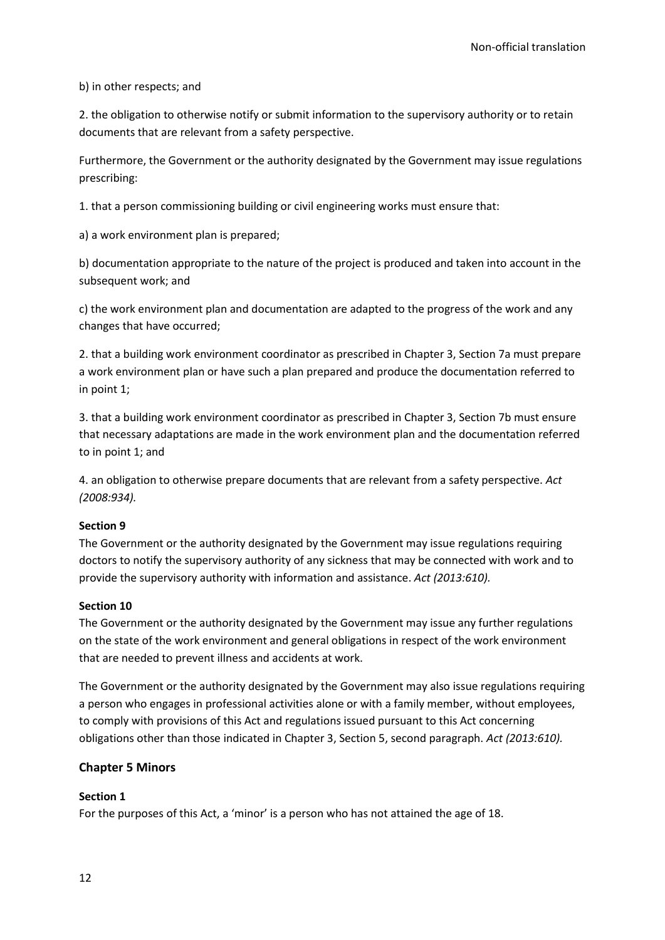b) in other respects; and

2. the obligation to otherwise notify or submit information to the supervisory authority or to retain documents that are relevant from a safety perspective.

Furthermore, the Government or the authority designated by the Government may issue regulations prescribing:

1. that a person commissioning building or civil engineering works must ensure that:

a) a work environment plan is prepared;

b) documentation appropriate to the nature of the project is produced and taken into account in the subsequent work; and

c) the work environment plan and documentation are adapted to the progress of the work and any changes that have occurred;

2. that a building work environment coordinator as prescribed in Chapter 3, Section 7a must prepare a work environment plan or have such a plan prepared and produce the documentation referred to in point 1;

3. that a building work environment coordinator as prescribed in Chapter 3, Section 7b must ensure that necessary adaptations are made in the work environment plan and the documentation referred to in point 1; and

4. an obligation to otherwise prepare documents that are relevant from a safety perspective. *Act (2008:934).*

### **Section 9**

The Government or the authority designated by the Government may issue regulations requiring doctors to notify the supervisory authority of any sickness that may be connected with work and to provide the supervisory authority with information and assistance. *Act (2013:610).*

#### **Section 10**

The Government or the authority designated by the Government may issue any further regulations on the state of the work environment and general obligations in respect of the work environment that are needed to prevent illness and accidents at work.

The Government or the authority designated by the Government may also issue regulations requiring a person who engages in professional activities alone or with a family member, without employees, to comply with provisions of this Act and regulations issued pursuant to this Act concerning obligations other than those indicated in Chapter 3, Section 5, second paragraph. *Act (2013:610).*

### **Chapter 5 Minors**

### **Section 1**

For the purposes of this Act, a 'minor' is a person who has not attained the age of 18.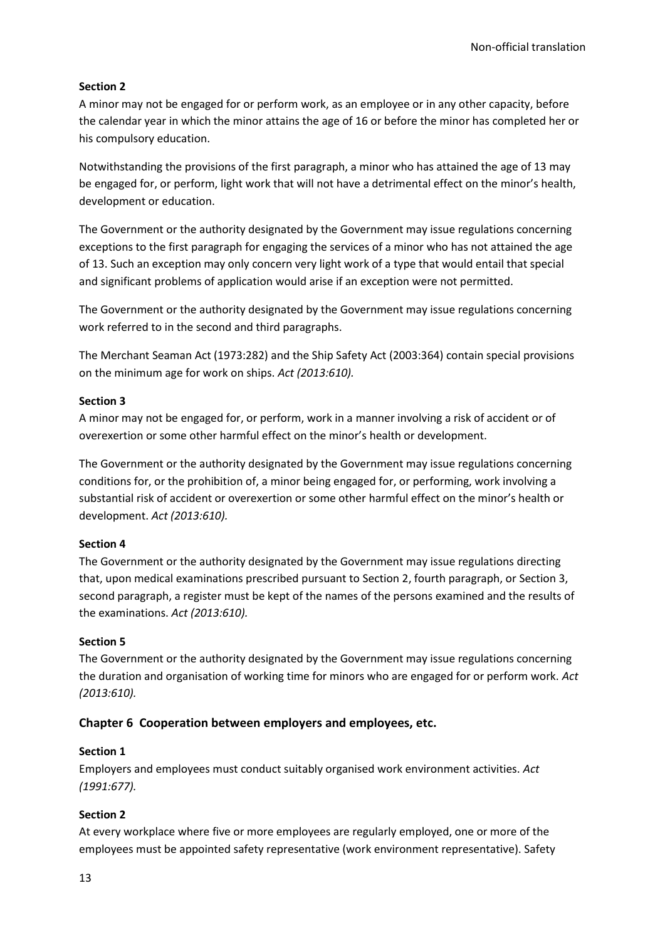## **Section 2**

A minor may not be engaged for or perform work, as an employee or in any other capacity, before the calendar year in which the minor attains the age of 16 or before the minor has completed her or his compulsory education.

Notwithstanding the provisions of the first paragraph, a minor who has attained the age of 13 may be engaged for, or perform, light work that will not have a detrimental effect on the minor's health, development or education.

The Government or the authority designated by the Government may issue regulations concerning exceptions to the first paragraph for engaging the services of a minor who has not attained the age of 13. Such an exception may only concern very light work of a type that would entail that special and significant problems of application would arise if an exception were not permitted.

The Government or the authority designated by the Government may issue regulations concerning work referred to in the second and third paragraphs.

The Merchant Seaman Act (1973:282) and the Ship Safety Act (2003:364) contain special provisions on the minimum age for work on ships. *Act (2013:610).*

## **Section 3**

A minor may not be engaged for, or perform, work in a manner involving a risk of accident or of overexertion or some other harmful effect on the minor's health or development.

The Government or the authority designated by the Government may issue regulations concerning conditions for, or the prohibition of, a minor being engaged for, or performing, work involving a substantial risk of accident or overexertion or some other harmful effect on the minor's health or development. *Act (2013:610).*

## **Section 4**

The Government or the authority designated by the Government may issue regulations directing that, upon medical examinations prescribed pursuant to Section 2, fourth paragraph, or Section 3, second paragraph, a register must be kept of the names of the persons examined and the results of the examinations. *Act (2013:610).*

### **Section 5**

The Government or the authority designated by the Government may issue regulations concerning the duration and organisation of working time for minors who are engaged for or perform work. *Act (2013:610).*

## **Chapter 6 Cooperation between employers and employees, etc.**

### **Section 1**

Employers and employees must conduct suitably organised work environment activities. *Act (1991:677).*

## **Section 2**

At every workplace where five or more employees are regularly employed, one or more of the employees must be appointed safety representative (work environment representative). Safety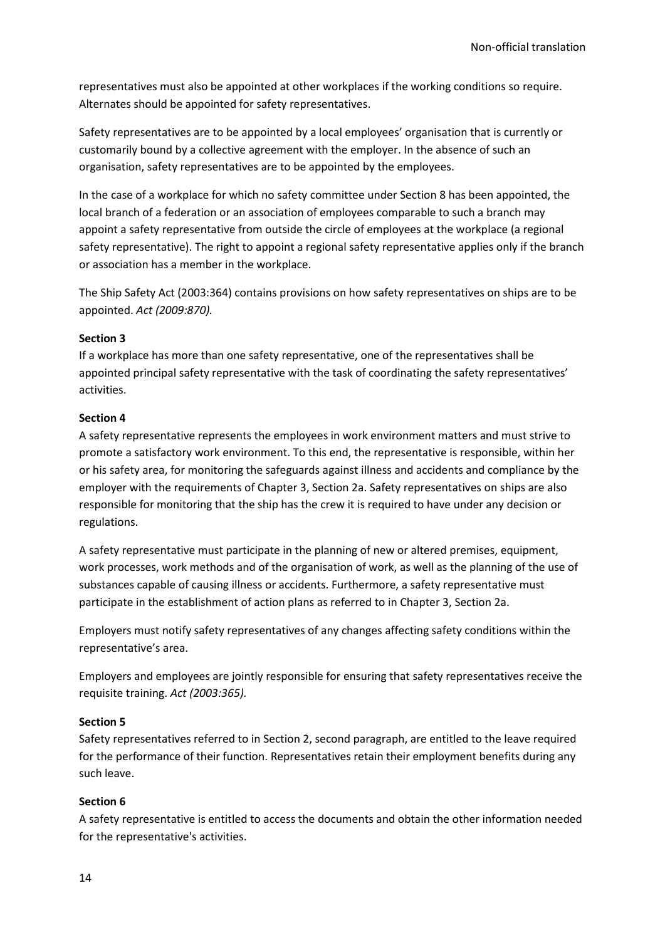representatives must also be appointed at other workplaces if the working conditions so require. Alternates should be appointed for safety representatives.

Safety representatives are to be appointed by a local employees' organisation that is currently or customarily bound by a collective agreement with the employer. In the absence of such an organisation, safety representatives are to be appointed by the employees.

In the case of a workplace for which no safety committee under Section 8 has been appointed, the local branch of a federation or an association of employees comparable to such a branch may appoint a safety representative from outside the circle of employees at the workplace (a regional safety representative). The right to appoint a regional safety representative applies only if the branch or association has a member in the workplace.

The Ship Safety Act (2003:364) contains provisions on how safety representatives on ships are to be appointed. *Act (2009:870).*

#### **Section 3**

If a workplace has more than one safety representative, one of the representatives shall be appointed principal safety representative with the task of coordinating the safety representatives' activities.

#### **Section 4**

A safety representative represents the employees in work environment matters and must strive to promote a satisfactory work environment. To this end, the representative is responsible, within her or his safety area, for monitoring the safeguards against illness and accidents and compliance by the employer with the requirements of Chapter 3, Section 2a. Safety representatives on ships are also responsible for monitoring that the ship has the crew it is required to have under any decision or regulations.

A safety representative must participate in the planning of new or altered premises, equipment, work processes, work methods and of the organisation of work, as well as the planning of the use of substances capable of causing illness or accidents. Furthermore, a safety representative must participate in the establishment of action plans as referred to in Chapter 3, Section 2a.

Employers must notify safety representatives of any changes affecting safety conditions within the representative's area.

Employers and employees are jointly responsible for ensuring that safety representatives receive the requisite training. *Act (2003:365).*

### **Section 5**

Safety representatives referred to in Section 2, second paragraph, are entitled to the leave required for the performance of their function. Representatives retain their employment benefits during any such leave.

### **Section 6**

A safety representative is entitled to access the documents and obtain the other information needed for the representative's activities.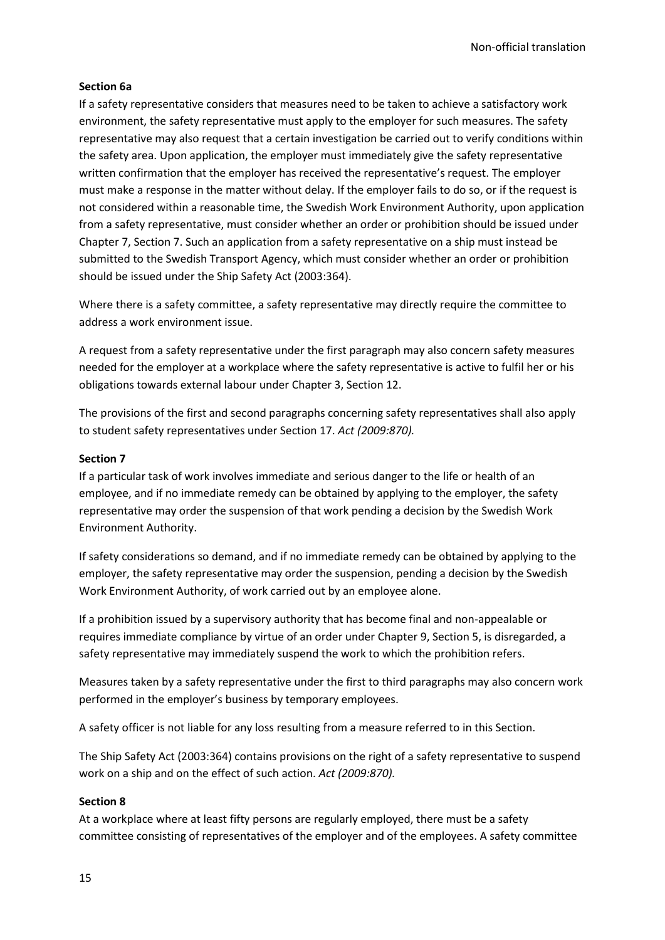#### **Section 6a**

If a safety representative considers that measures need to be taken to achieve a satisfactory work environment, the safety representative must apply to the employer for such measures. The safety representative may also request that a certain investigation be carried out to verify conditions within the safety area. Upon application, the employer must immediately give the safety representative written confirmation that the employer has received the representative's request. The employer must make a response in the matter without delay. If the employer fails to do so, or if the request is not considered within a reasonable time, the Swedish Work Environment Authority, upon application from a safety representative, must consider whether an order or prohibition should be issued under Chapter 7, Section 7. Such an application from a safety representative on a ship must instead be submitted to the Swedish Transport Agency, which must consider whether an order or prohibition should be issued under the Ship Safety Act (2003:364).

Where there is a safety committee, a safety representative may directly require the committee to address a work environment issue.

A request from a safety representative under the first paragraph may also concern safety measures needed for the employer at a workplace where the safety representative is active to fulfil her or his obligations towards external labour under Chapter 3, Section 12.

The provisions of the first and second paragraphs concerning safety representatives shall also apply to student safety representatives under Section 17. *Act (2009:870).*

#### **Section 7**

If a particular task of work involves immediate and serious danger to the life or health of an employee, and if no immediate remedy can be obtained by applying to the employer, the safety representative may order the suspension of that work pending a decision by the Swedish Work Environment Authority.

If safety considerations so demand, and if no immediate remedy can be obtained by applying to the employer, the safety representative may order the suspension, pending a decision by the Swedish Work Environment Authority, of work carried out by an employee alone.

If a prohibition issued by a supervisory authority that has become final and non-appealable or requires immediate compliance by virtue of an order under Chapter 9, Section 5, is disregarded, a safety representative may immediately suspend the work to which the prohibition refers.

Measures taken by a safety representative under the first to third paragraphs may also concern work performed in the employer's business by temporary employees.

A safety officer is not liable for any loss resulting from a measure referred to in this Section.

The Ship Safety Act (2003:364) contains provisions on the right of a safety representative to suspend work on a ship and on the effect of such action. *Act (2009:870).*

### **Section 8**

At a workplace where at least fifty persons are regularly employed, there must be a safety committee consisting of representatives of the employer and of the employees. A safety committee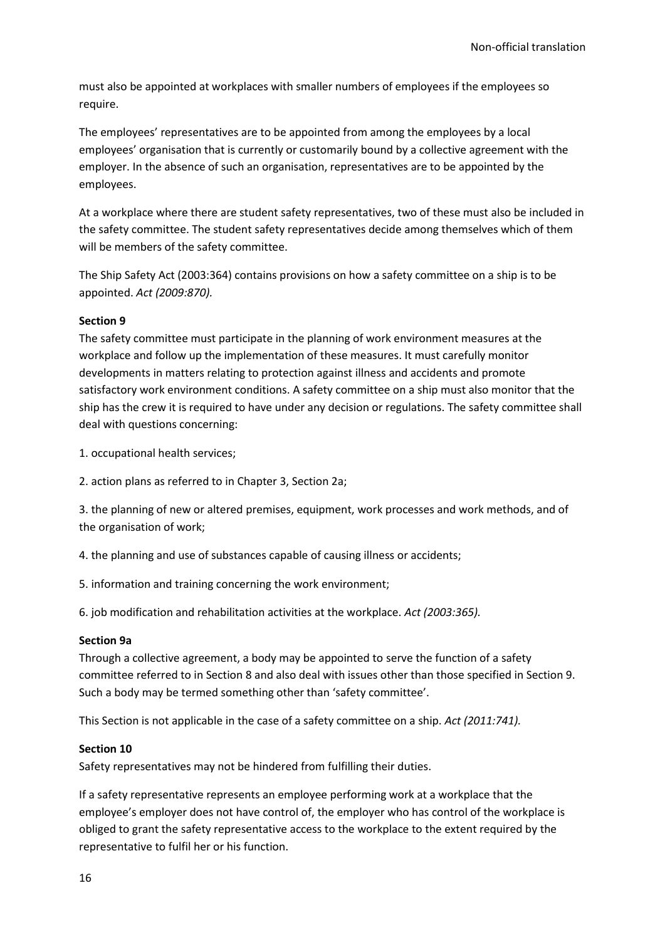must also be appointed at workplaces with smaller numbers of employees if the employees so require.

The employees' representatives are to be appointed from among the employees by a local employees' organisation that is currently or customarily bound by a collective agreement with the employer. In the absence of such an organisation, representatives are to be appointed by the employees.

At a workplace where there are student safety representatives, two of these must also be included in the safety committee. The student safety representatives decide among themselves which of them will be members of the safety committee.

The Ship Safety Act (2003:364) contains provisions on how a safety committee on a ship is to be appointed. *Act (2009:870).*

### **Section 9**

The safety committee must participate in the planning of work environment measures at the workplace and follow up the implementation of these measures. It must carefully monitor developments in matters relating to protection against illness and accidents and promote satisfactory work environment conditions. A safety committee on a ship must also monitor that the ship has the crew it is required to have under any decision or regulations. The safety committee shall deal with questions concerning:

1. occupational health services;

2. action plans as referred to in Chapter 3, Section 2a;

3. the planning of new or altered premises, equipment, work processes and work methods, and of the organisation of work;

4. the planning and use of substances capable of causing illness or accidents;

5. information and training concerning the work environment;

6. job modification and rehabilitation activities at the workplace. *Act (2003:365).*

#### **Section 9a**

Through a collective agreement, a body may be appointed to serve the function of a safety committee referred to in Section 8 and also deal with issues other than those specified in Section 9. Such a body may be termed something other than 'safety committee'.

This Section is not applicable in the case of a safety committee on a ship. *Act (2011:741).*

#### **Section 10**

Safety representatives may not be hindered from fulfilling their duties.

If a safety representative represents an employee performing work at a workplace that the employee's employer does not have control of, the employer who has control of the workplace is obliged to grant the safety representative access to the workplace to the extent required by the representative to fulfil her or his function.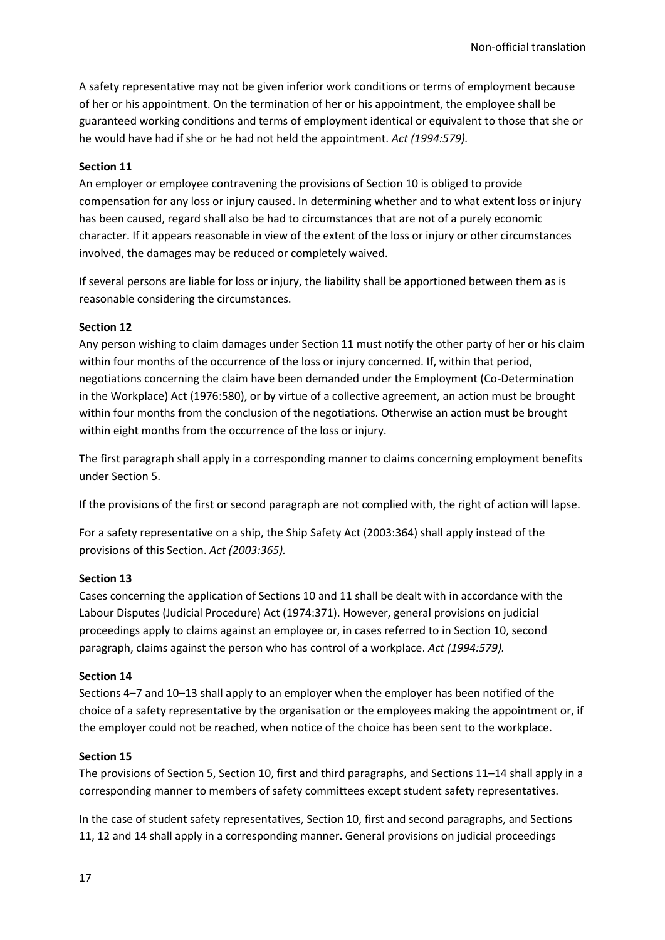A safety representative may not be given inferior work conditions or terms of employment because of her or his appointment. On the termination of her or his appointment, the employee shall be guaranteed working conditions and terms of employment identical or equivalent to those that she or he would have had if she or he had not held the appointment. *Act (1994:579).*

#### **Section 11**

An employer or employee contravening the provisions of Section 10 is obliged to provide compensation for any loss or injury caused. In determining whether and to what extent loss or injury has been caused, regard shall also be had to circumstances that are not of a purely economic character. If it appears reasonable in view of the extent of the loss or injury or other circumstances involved, the damages may be reduced or completely waived.

If several persons are liable for loss or injury, the liability shall be apportioned between them as is reasonable considering the circumstances.

#### **Section 12**

Any person wishing to claim damages under Section 11 must notify the other party of her or his claim within four months of the occurrence of the loss or injury concerned. If, within that period, negotiations concerning the claim have been demanded under the Employment (Co-Determination in the Workplace) Act (1976:580), or by virtue of a collective agreement, an action must be brought within four months from the conclusion of the negotiations. Otherwise an action must be brought within eight months from the occurrence of the loss or injury.

The first paragraph shall apply in a corresponding manner to claims concerning employment benefits under Section 5.

If the provisions of the first or second paragraph are not complied with, the right of action will lapse.

For a safety representative on a ship, the Ship Safety Act (2003:364) shall apply instead of the provisions of this Section. *Act (2003:365).*

#### **Section 13**

Cases concerning the application of Sections 10 and 11 shall be dealt with in accordance with the Labour Disputes (Judicial Procedure) Act (1974:371). However, general provisions on judicial proceedings apply to claims against an employee or, in cases referred to in Section 10, second paragraph, claims against the person who has control of a workplace. *Act (1994:579).*

#### **Section 14**

Sections 4–7 and 10–13 shall apply to an employer when the employer has been notified of the choice of a safety representative by the organisation or the employees making the appointment or, if the employer could not be reached, when notice of the choice has been sent to the workplace.

#### **Section 15**

The provisions of Section 5, Section 10, first and third paragraphs, and Sections 11–14 shall apply in a corresponding manner to members of safety committees except student safety representatives.

In the case of student safety representatives, Section 10, first and second paragraphs, and Sections 11, 12 and 14 shall apply in a corresponding manner. General provisions on judicial proceedings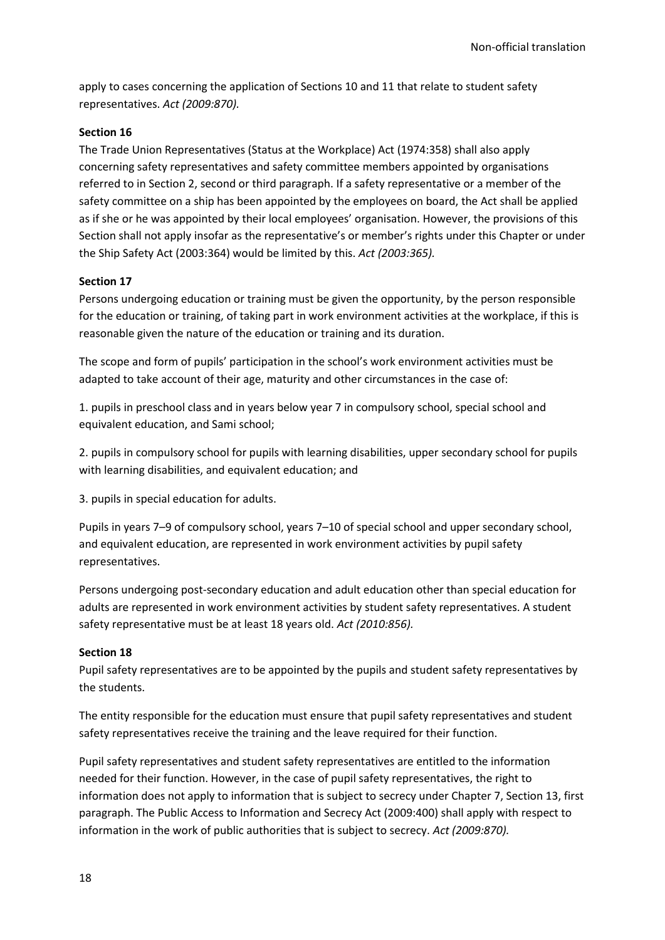apply to cases concerning the application of Sections 10 and 11 that relate to student safety representatives. *Act (2009:870).*

### **Section 16**

The Trade Union Representatives (Status at the Workplace) Act (1974:358) shall also apply concerning safety representatives and safety committee members appointed by organisations referred to in Section 2, second or third paragraph. If a safety representative or a member of the safety committee on a ship has been appointed by the employees on board, the Act shall be applied as if she or he was appointed by their local employees' organisation. However, the provisions of this Section shall not apply insofar as the representative's or member's rights under this Chapter or under the Ship Safety Act (2003:364) would be limited by this. *Act (2003:365).*

#### **Section 17**

Persons undergoing education or training must be given the opportunity, by the person responsible for the education or training, of taking part in work environment activities at the workplace, if this is reasonable given the nature of the education or training and its duration.

The scope and form of pupils' participation in the school's work environment activities must be adapted to take account of their age, maturity and other circumstances in the case of:

1. pupils in preschool class and in years below year 7 in compulsory school, special school and equivalent education, and Sami school;

2. pupils in compulsory school for pupils with learning disabilities, upper secondary school for pupils with learning disabilities, and equivalent education; and

3. pupils in special education for adults.

Pupils in years 7–9 of compulsory school, years 7–10 of special school and upper secondary school, and equivalent education, are represented in work environment activities by pupil safety representatives.

Persons undergoing post-secondary education and adult education other than special education for adults are represented in work environment activities by student safety representatives. A student safety representative must be at least 18 years old. *Act (2010:856).*

#### **Section 18**

Pupil safety representatives are to be appointed by the pupils and student safety representatives by the students.

The entity responsible for the education must ensure that pupil safety representatives and student safety representatives receive the training and the leave required for their function.

Pupil safety representatives and student safety representatives are entitled to the information needed for their function. However, in the case of pupil safety representatives, the right to information does not apply to information that is subject to secrecy under Chapter 7, Section 13, first paragraph. The Public Access to Information and Secrecy Act (2009:400) shall apply with respect to information in the work of public authorities that is subject to secrecy. *Act (2009:870).*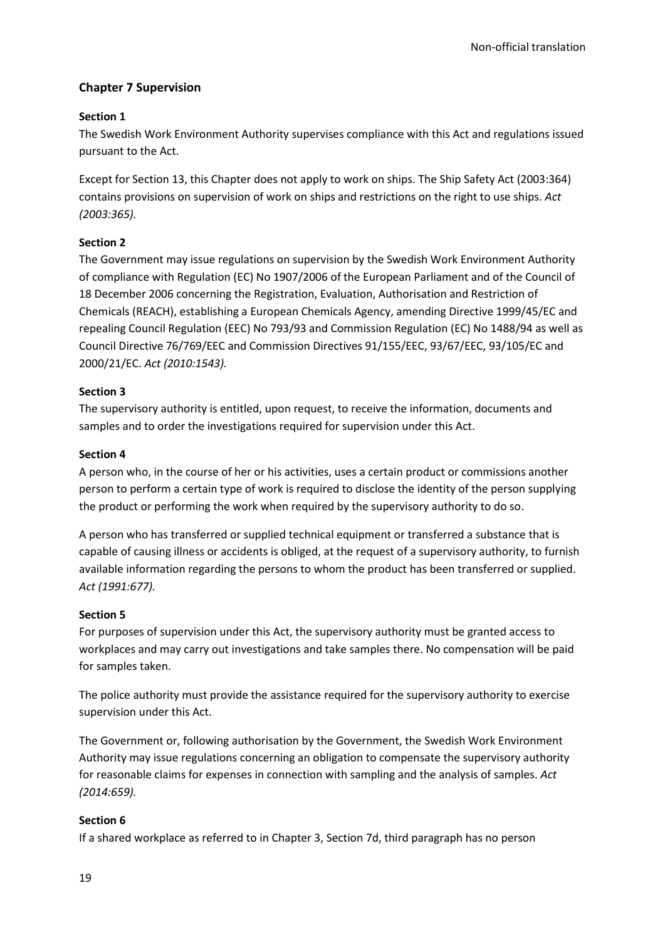## **Chapter 7 Supervision**

## **Section 1**

The Swedish Work Environment Authority supervises compliance with this Act and regulations issued pursuant to the Act.

Except for Section 13, this Chapter does not apply to work on ships. The Ship Safety Act (2003:364) contains provisions on supervision of work on ships and restrictions on the right to use ships. *Act (2003:365).*

## **Section 2**

The Government may issue regulations on supervision by the Swedish Work Environment Authority of compliance with Regulation (EC) No 1907/2006 of the European Parliament and of the Council of 18 December 2006 concerning the Registration, Evaluation, Authorisation and Restriction of Chemicals (REACH), establishing a European Chemicals Agency, amending Directive 1999/45/EC and repealing Council Regulation (EEC) No 793/93 and Commission Regulation (EC) No 1488/94 as well as Council Directive 76/769/EEC and Commission Directives 91/155/EEC, 93/67/EEC, 93/105/EC and 2000/21/EC. *Act (2010:1543).*

## **Section 3**

The supervisory authority is entitled, upon request, to receive the information, documents and samples and to order the investigations required for supervision under this Act.

### **Section 4**

A person who, in the course of her or his activities, uses a certain product or commissions another person to perform a certain type of work is required to disclose the identity of the person supplying the product or performing the work when required by the supervisory authority to do so.

A person who has transferred or supplied technical equipment or transferred a substance that is capable of causing illness or accidents is obliged, at the request of a supervisory authority, to furnish available information regarding the persons to whom the product has been transferred or supplied. *Act (1991:677).*

### **Section 5**

For purposes of supervision under this Act, the supervisory authority must be granted access to workplaces and may carry out investigations and take samples there. No compensation will be paid for samples taken.

The police authority must provide the assistance required for the supervisory authority to exercise supervision under this Act.

The Government or, following authorisation by the Government, the Swedish Work Environment Authority may issue regulations concerning an obligation to compensate the supervisory authority for reasonable claims for expenses in connection with sampling and the analysis of samples. *Act (2014:659).*

## **Section 6**

If a shared workplace as referred to in Chapter 3, Section 7d, third paragraph has no person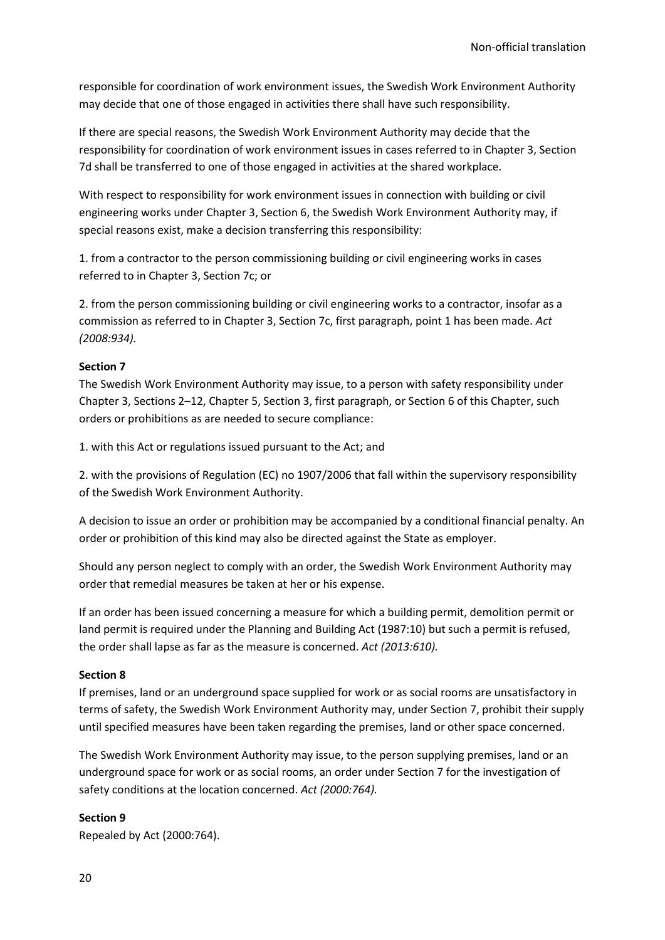responsible for coordination of work environment issues, the Swedish Work Environment Authority may decide that one of those engaged in activities there shall have such responsibility.

If there are special reasons, the Swedish Work Environment Authority may decide that the responsibility for coordination of work environment issues in cases referred to in Chapter 3, Section 7d shall be transferred to one of those engaged in activities at the shared workplace.

With respect to responsibility for work environment issues in connection with building or civil engineering works under Chapter 3, Section 6, the Swedish Work Environment Authority may, if special reasons exist, make a decision transferring this responsibility:

1. from a contractor to the person commissioning building or civil engineering works in cases referred to in Chapter 3, Section 7c; or

2. from the person commissioning building or civil engineering works to a contractor, insofar as a commission as referred to in Chapter 3, Section 7c, first paragraph, point 1 has been made. *Act (2008:934).*

#### **Section 7**

The Swedish Work Environment Authority may issue, to a person with safety responsibility under Chapter 3, Sections 2–12, Chapter 5, Section 3, first paragraph, or Section 6 of this Chapter, such orders or prohibitions as are needed to secure compliance:

1. with this Act or regulations issued pursuant to the Act; and

2. with the provisions of Regulation (EC) no 1907/2006 that fall within the supervisory responsibility of the Swedish Work Environment Authority.

A decision to issue an order or prohibition may be accompanied by a conditional financial penalty. An order or prohibition of this kind may also be directed against the State as employer.

Should any person neglect to comply with an order, the Swedish Work Environment Authority may order that remedial measures be taken at her or his expense.

If an order has been issued concerning a measure for which a building permit, demolition permit or land permit is required under the Planning and Building Act (1987:10) but such a permit is refused, the order shall lapse as far as the measure is concerned. *Act (2013:610).*

#### **Section 8**

If premises, land or an underground space supplied for work or as social rooms are unsatisfactory in terms of safety, the Swedish Work Environment Authority may, under Section 7, prohibit their supply until specified measures have been taken regarding the premises, land or other space concerned.

The Swedish Work Environment Authority may issue, to the person supplying premises, land or an underground space for work or as social rooms, an order under Section 7 for the investigation of safety conditions at the location concerned. *Act (2000:764).*

### **Section 9**

Repealed by Act (2000:764).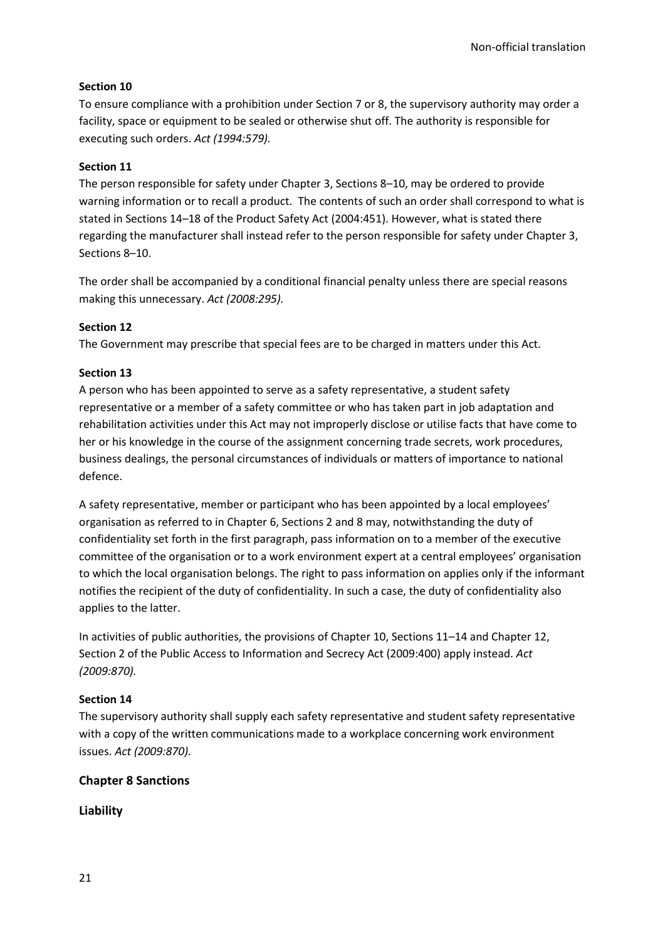## **Section 10**

To ensure compliance with a prohibition under Section 7 or 8, the supervisory authority may order a facility, space or equipment to be sealed or otherwise shut off. The authority is responsible for executing such orders. *Act (1994:579).*

## **Section 11**

The person responsible for safety under Chapter 3, Sections 8–10, may be ordered to provide warning information or to recall a product. The contents of such an order shall correspond to what is stated in Sections 14–18 of the Product Safety Act (2004:451). However, what is stated there regarding the manufacturer shall instead refer to the person responsible for safety under Chapter 3, Sections 8–10.

The order shall be accompanied by a conditional financial penalty unless there are special reasons making this unnecessary. *Act (2008:295).*

## **Section 12**

The Government may prescribe that special fees are to be charged in matters under this Act.

## **Section 13**

A person who has been appointed to serve as a safety representative, a student safety representative or a member of a safety committee or who has taken part in job adaptation and rehabilitation activities under this Act may not improperly disclose or utilise facts that have come to her or his knowledge in the course of the assignment concerning trade secrets, work procedures, business dealings, the personal circumstances of individuals or matters of importance to national defence.

A safety representative, member or participant who has been appointed by a local employees' organisation as referred to in Chapter 6, Sections 2 and 8 may, notwithstanding the duty of confidentiality set forth in the first paragraph, pass information on to a member of the executive committee of the organisation or to a work environment expert at a central employees' organisation to which the local organisation belongs. The right to pass information on applies only if the informant notifies the recipient of the duty of confidentiality. In such a case, the duty of confidentiality also applies to the latter.

In activities of public authorities, the provisions of Chapter 10, Sections 11–14 and Chapter 12, Section 2 of the Public Access to Information and Secrecy Act (2009:400) apply instead. *Act (2009:870).*

### **Section 14**

The supervisory authority shall supply each safety representative and student safety representative with a copy of the written communications made to a workplace concerning work environment issues. *Act (2009:870).*

## **Chapter 8 Sanctions**

**Liability**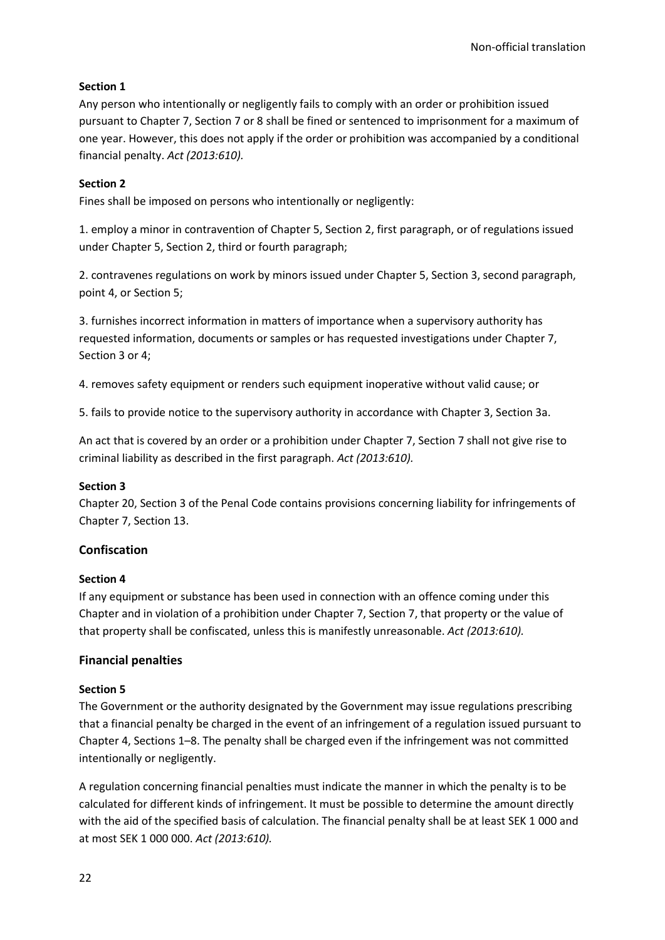## **Section 1**

Any person who intentionally or negligently fails to comply with an order or prohibition issued pursuant to Chapter 7, Section 7 or 8 shall be fined or sentenced to imprisonment for a maximum of one year. However, this does not apply if the order or prohibition was accompanied by a conditional financial penalty. *Act (2013:610).*

## **Section 2**

Fines shall be imposed on persons who intentionally or negligently:

1. employ a minor in contravention of Chapter 5, Section 2, first paragraph, or of regulations issued under Chapter 5, Section 2, third or fourth paragraph;

2. contravenes regulations on work by minors issued under Chapter 5, Section 3, second paragraph, point 4, or Section 5;

3. furnishes incorrect information in matters of importance when a supervisory authority has requested information, documents or samples or has requested investigations under Chapter 7, Section 3 or 4;

4. removes safety equipment or renders such equipment inoperative without valid cause; or

5. fails to provide notice to the supervisory authority in accordance with Chapter 3, Section 3a.

An act that is covered by an order or a prohibition under Chapter 7, Section 7 shall not give rise to criminal liability as described in the first paragraph. *Act (2013:610).*

### **Section 3**

Chapter 20, Section 3 of the Penal Code contains provisions concerning liability for infringements of Chapter 7, Section 13.

### **Confiscation**

### **Section 4**

If any equipment or substance has been used in connection with an offence coming under this Chapter and in violation of a prohibition under Chapter 7, Section 7, that property or the value of that property shall be confiscated, unless this is manifestly unreasonable. *Act (2013:610).*

## **Financial penalties**

### **Section 5**

The Government or the authority designated by the Government may issue regulations prescribing that a financial penalty be charged in the event of an infringement of a regulation issued pursuant to Chapter 4, Sections 1–8. The penalty shall be charged even if the infringement was not committed intentionally or negligently.

A regulation concerning financial penalties must indicate the manner in which the penalty is to be calculated for different kinds of infringement. It must be possible to determine the amount directly with the aid of the specified basis of calculation. The financial penalty shall be at least SEK 1 000 and at most SEK 1 000 000. *Act (2013:610).*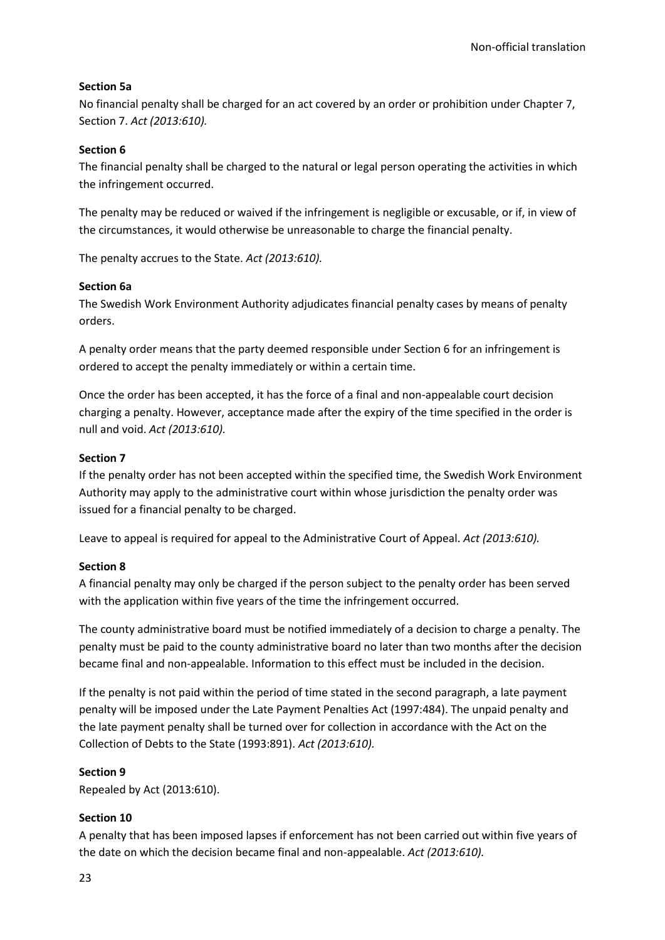## **Section 5a**

No financial penalty shall be charged for an act covered by an order or prohibition under Chapter 7, Section 7. *Act (2013:610).*

## **Section 6**

The financial penalty shall be charged to the natural or legal person operating the activities in which the infringement occurred.

The penalty may be reduced or waived if the infringement is negligible or excusable, or if, in view of the circumstances, it would otherwise be unreasonable to charge the financial penalty.

The penalty accrues to the State. *Act (2013:610).*

### **Section 6a**

The Swedish Work Environment Authority adjudicates financial penalty cases by means of penalty orders.

A penalty order means that the party deemed responsible under Section 6 for an infringement is ordered to accept the penalty immediately or within a certain time.

Once the order has been accepted, it has the force of a final and non-appealable court decision charging a penalty. However, acceptance made after the expiry of the time specified in the order is null and void. *Act (2013:610).*

## **Section 7**

If the penalty order has not been accepted within the specified time, the Swedish Work Environment Authority may apply to the administrative court within whose jurisdiction the penalty order was issued for a financial penalty to be charged.

Leave to appeal is required for appeal to the Administrative Court of Appeal. *Act (2013:610).*

## **Section 8**

A financial penalty may only be charged if the person subject to the penalty order has been served with the application within five years of the time the infringement occurred.

The county administrative board must be notified immediately of a decision to charge a penalty. The penalty must be paid to the county administrative board no later than two months after the decision became final and non-appealable. Information to this effect must be included in the decision.

If the penalty is not paid within the period of time stated in the second paragraph, a late payment penalty will be imposed under the Late Payment Penalties Act (1997:484). The unpaid penalty and the late payment penalty shall be turned over for collection in accordance with the Act on the Collection of Debts to the State (1993:891). *Act (2013:610).*

### **Section 9**

Repealed by Act (2013:610).

### **Section 10**

A penalty that has been imposed lapses if enforcement has not been carried out within five years of the date on which the decision became final and non-appealable. *Act (2013:610).*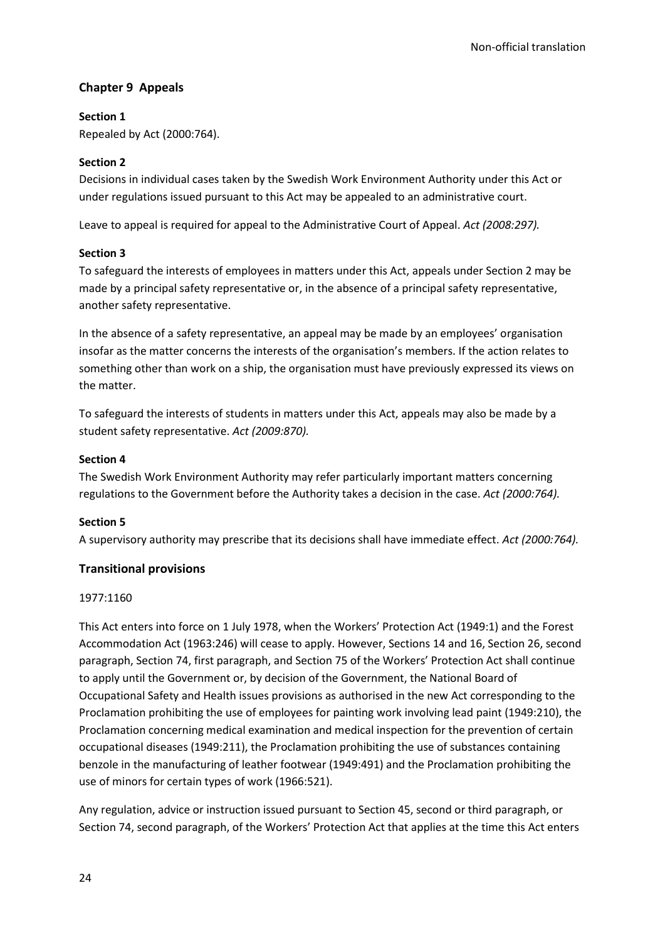## **Chapter 9 Appeals**

### **Section 1**

Repealed by Act (2000:764).

## **Section 2**

Decisions in individual cases taken by the Swedish Work Environment Authority under this Act or under regulations issued pursuant to this Act may be appealed to an administrative court.

Leave to appeal is required for appeal to the Administrative Court of Appeal. *Act (2008:297).*

### **Section 3**

To safeguard the interests of employees in matters under this Act, appeals under Section 2 may be made by a principal safety representative or, in the absence of a principal safety representative, another safety representative.

In the absence of a safety representative, an appeal may be made by an employees' organisation insofar as the matter concerns the interests of the organisation's members. If the action relates to something other than work on a ship, the organisation must have previously expressed its views on the matter.

To safeguard the interests of students in matters under this Act, appeals may also be made by a student safety representative. *Act (2009:870).*

### **Section 4**

The Swedish Work Environment Authority may refer particularly important matters concerning regulations to the Government before the Authority takes a decision in the case. *Act (2000:764).*

### **Section 5**

A supervisory authority may prescribe that its decisions shall have immediate effect. *Act (2000:764).*

## **Transitional provisions**

### 1977:1160

This Act enters into force on 1 July 1978, when the Workers' Protection Act (1949:1) and the Forest Accommodation Act (1963:246) will cease to apply. However, Sections 14 and 16, Section 26, second paragraph, Section 74, first paragraph, and Section 75 of the Workers' Protection Act shall continue to apply until the Government or, by decision of the Government, the National Board of Occupational Safety and Health issues provisions as authorised in the new Act corresponding to the Proclamation prohibiting the use of employees for painting work involving lead paint (1949:210), the Proclamation concerning medical examination and medical inspection for the prevention of certain occupational diseases (1949:211), the Proclamation prohibiting the use of substances containing benzole in the manufacturing of leather footwear (1949:491) and the Proclamation prohibiting the use of minors for certain types of work (1966:521).

Any regulation, advice or instruction issued pursuant to Section 45, second or third paragraph, or Section 74, second paragraph, of the Workers' Protection Act that applies at the time this Act enters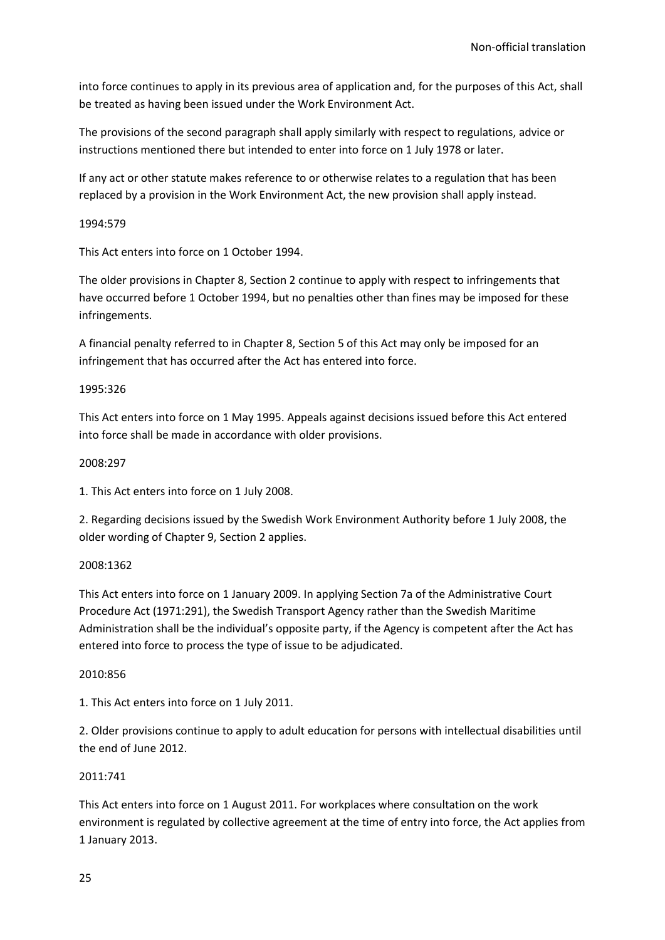into force continues to apply in its previous area of application and, for the purposes of this Act, shall be treated as having been issued under the Work Environment Act.

The provisions of the second paragraph shall apply similarly with respect to regulations, advice or instructions mentioned there but intended to enter into force on 1 July 1978 or later.

If any act or other statute makes reference to or otherwise relates to a regulation that has been replaced by a provision in the Work Environment Act, the new provision shall apply instead.

#### 1994:579

This Act enters into force on 1 October 1994.

The older provisions in Chapter 8, Section 2 continue to apply with respect to infringements that have occurred before 1 October 1994, but no penalties other than fines may be imposed for these infringements.

A financial penalty referred to in Chapter 8, Section 5 of this Act may only be imposed for an infringement that has occurred after the Act has entered into force.

### 1995:326

This Act enters into force on 1 May 1995. Appeals against decisions issued before this Act entered into force shall be made in accordance with older provisions.

#### 2008:297

1. This Act enters into force on 1 July 2008.

2. Regarding decisions issued by the Swedish Work Environment Authority before 1 July 2008, the older wording of Chapter 9, Section 2 applies.

### 2008:1362

This Act enters into force on 1 January 2009. In applying Section 7a of the Administrative Court Procedure Act (1971:291), the Swedish Transport Agency rather than the Swedish Maritime Administration shall be the individual's opposite party, if the Agency is competent after the Act has entered into force to process the type of issue to be adjudicated.

#### 2010:856

1. This Act enters into force on 1 July 2011.

2. Older provisions continue to apply to adult education for persons with intellectual disabilities until the end of June 2012.

#### 2011:741

This Act enters into force on 1 August 2011. For workplaces where consultation on the work environment is regulated by collective agreement at the time of entry into force, the Act applies from 1 January 2013.